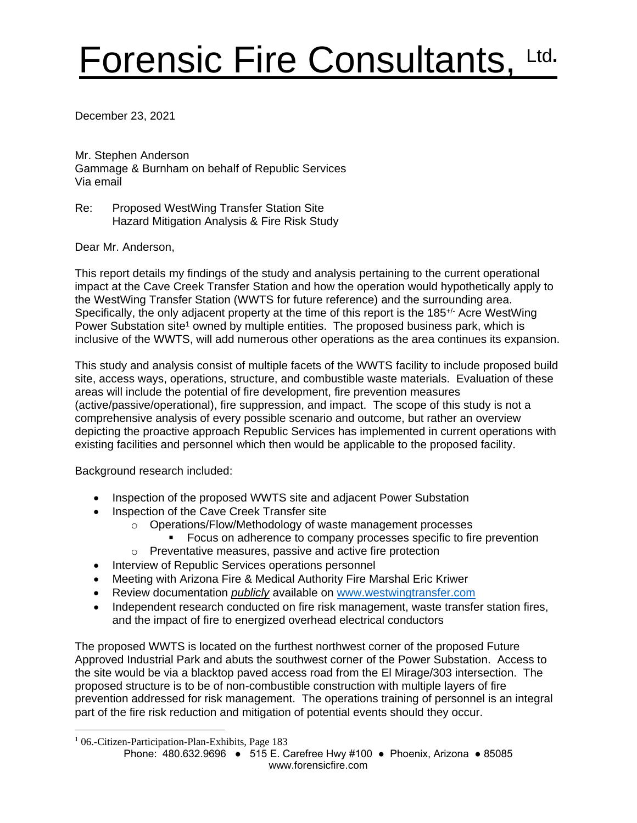# Forensic Fire Consultants, Ltd**.**

December 23, 2021

Mr. Stephen Anderson Gammage & Burnham on behalf of Republic Services Via email

Re: Proposed WestWing Transfer Station Site Hazard Mitigation Analysis & Fire Risk Study

Dear Mr. Anderson,

This report details my findings of the study and analysis pertaining to the current operational impact at the Cave Creek Transfer Station and how the operation would hypothetically apply to the WestWing Transfer Station (WWTS for future reference) and the surrounding area. Specifically, the only adjacent property at the time of this report is the 185<sup>+/-</sup> Acre WestWing Power Substation site<sup>1</sup> owned by multiple entities. The proposed business park, which is inclusive of the WWTS, will add numerous other operations as the area continues its expansion.

This study and analysis consist of multiple facets of the WWTS facility to include proposed build site, access ways, operations, structure, and combustible waste materials. Evaluation of these areas will include the potential of fire development, fire prevention measures (active/passive/operational), fire suppression, and impact. The scope of this study is not a comprehensive analysis of every possible scenario and outcome, but rather an overview depicting the proactive approach Republic Services has implemented in current operations with existing facilities and personnel which then would be applicable to the proposed facility.

Background research included:

- Inspection of the proposed WWTS site and adjacent Power Substation
- Inspection of the Cave Creek Transfer site
	- o Operations/Flow/Methodology of waste management processes
		- Focus on adherence to company processes specific to fire prevention
	- o Preventative measures, passive and active fire protection
- Interview of Republic Services operations personnel
- Meeting with Arizona Fire & Medical Authority Fire Marshal Eric Kriwer
- Review documentation *publicly* available on [www.westwingtransfer.com](http://www.westwingtransfer.com/)
- Independent research conducted on fire risk management, waste transfer station fires, and the impact of fire to energized overhead electrical conductors

The proposed WWTS is located on the furthest northwest corner of the proposed Future Approved Industrial Park and abuts the southwest corner of the Power Substation. Access to the site would be via a blacktop paved access road from the El Mirage/303 intersection. The proposed structure is to be of non-combustible construction with multiple layers of fire prevention addressed for risk management. The operations training of personnel is an integral part of the fire risk reduction and mitigation of potential events should they occur.

<sup>&</sup>lt;sup>1</sup> 06.-Citizen-Participation-Plan-Exhibits, Page 183

Phone: 480.632.9696 ● 515 E. Carefree Hwy #100 ● Phoenix, Arizona ● 85085 www.forensicfire.com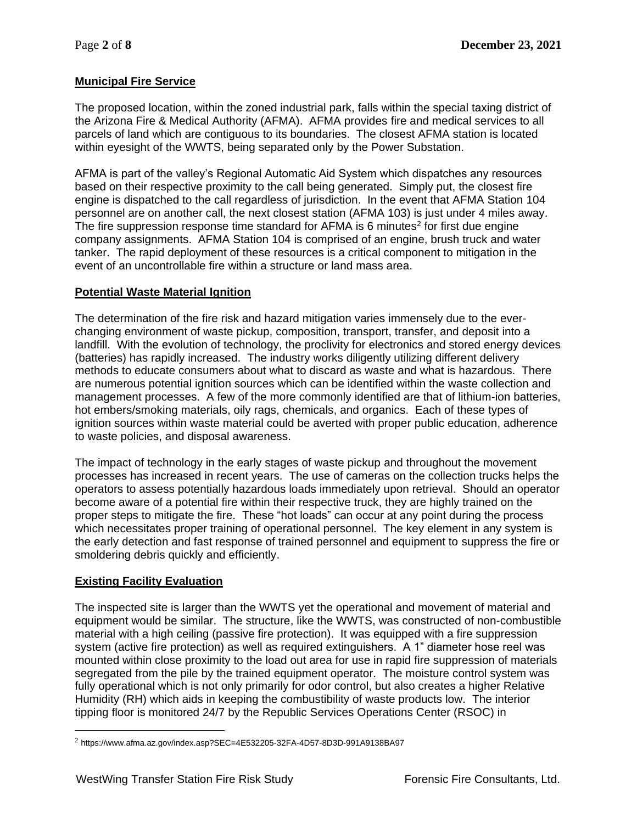## **Municipal Fire Service**

The proposed location, within the zoned industrial park, falls within the special taxing district of the Arizona Fire & Medical Authority (AFMA). AFMA provides fire and medical services to all parcels of land which are contiguous to its boundaries. The closest AFMA station is located within eyesight of the WWTS, being separated only by the Power Substation.

AFMA is part of the valley's Regional Automatic Aid System which dispatches any resources based on their respective proximity to the call being generated. Simply put, the closest fire engine is dispatched to the call regardless of jurisdiction. In the event that AFMA Station 104 personnel are on another call, the next closest station (AFMA 103) is just under 4 miles away. The fire suppression response time standard for AFMA is 6 minutes<sup>2</sup> for first due engine company assignments. AFMA Station 104 is comprised of an engine, brush truck and water tanker. The rapid deployment of these resources is a critical component to mitigation in the event of an uncontrollable fire within a structure or land mass area.

#### **Potential Waste Material Ignition**

The determination of the fire risk and hazard mitigation varies immensely due to the everchanging environment of waste pickup, composition, transport, transfer, and deposit into a landfill. With the evolution of technology, the proclivity for electronics and stored energy devices (batteries) has rapidly increased. The industry works diligently utilizing different delivery methods to educate consumers about what to discard as waste and what is hazardous. There are numerous potential ignition sources which can be identified within the waste collection and management processes. A few of the more commonly identified are that of lithium-ion batteries, hot embers/smoking materials, oily rags, chemicals, and organics. Each of these types of ignition sources within waste material could be averted with proper public education, adherence to waste policies, and disposal awareness.

The impact of technology in the early stages of waste pickup and throughout the movement processes has increased in recent years. The use of cameras on the collection trucks helps the operators to assess potentially hazardous loads immediately upon retrieval. Should an operator become aware of a potential fire within their respective truck, they are highly trained on the proper steps to mitigate the fire. These "hot loads" can occur at any point during the process which necessitates proper training of operational personnel. The key element in any system is the early detection and fast response of trained personnel and equipment to suppress the fire or smoldering debris quickly and efficiently.

#### **Existing Facility Evaluation**

The inspected site is larger than the WWTS yet the operational and movement of material and equipment would be similar. The structure, like the WWTS, was constructed of non-combustible material with a high ceiling (passive fire protection). It was equipped with a fire suppression system (active fire protection) as well as required extinguishers. A 1" diameter hose reel was mounted within close proximity to the load out area for use in rapid fire suppression of materials segregated from the pile by the trained equipment operator. The moisture control system was fully operational which is not only primarily for odor control, but also creates a higher Relative Humidity (RH) which aids in keeping the combustibility of waste products low. The interior tipping floor is monitored 24/7 by the Republic Services Operations Center (RSOC) in

 $^2$  https://www.afma.az.gov/index.asp?SEC=4E532205-32FA-4D57-8D3D-991A9138BA97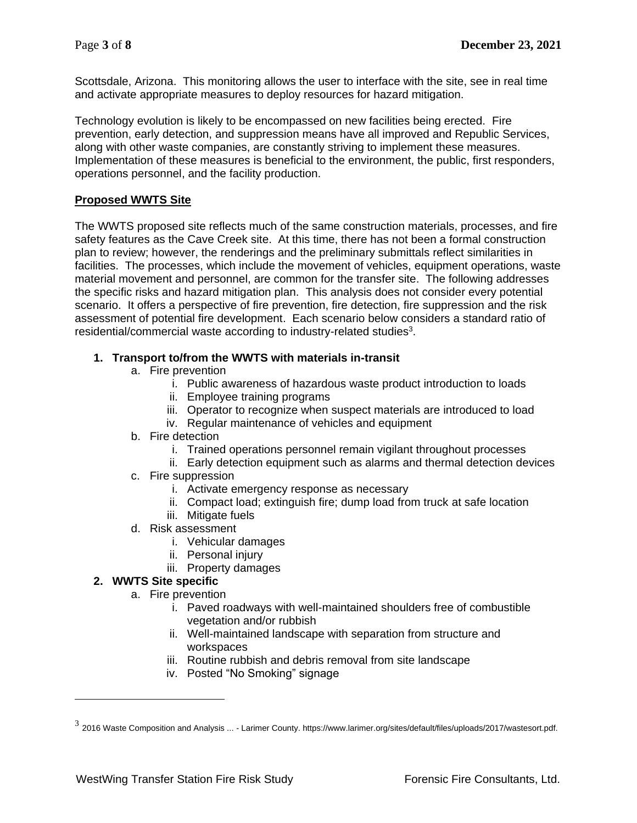Scottsdale, Arizona. This monitoring allows the user to interface with the site, see in real time and activate appropriate measures to deploy resources for hazard mitigation.

Technology evolution is likely to be encompassed on new facilities being erected. Fire prevention, early detection, and suppression means have all improved and Republic Services, along with other waste companies, are constantly striving to implement these measures. Implementation of these measures is beneficial to the environment, the public, first responders, operations personnel, and the facility production.

#### **Proposed WWTS Site**

The WWTS proposed site reflects much of the same construction materials, processes, and fire safety features as the Cave Creek site. At this time, there has not been a formal construction plan to review; however, the renderings and the preliminary submittals reflect similarities in facilities. The processes, which include the movement of vehicles, equipment operations, waste material movement and personnel, are common for the transfer site. The following addresses the specific risks and hazard mitigation plan. This analysis does not consider every potential scenario. It offers a perspective of fire prevention, fire detection, fire suppression and the risk assessment of potential fire development. Each scenario below considers a standard ratio of residential/commercial waste according to industry-related studies<sup>3</sup>.

#### **1. Transport to/from the WWTS with materials in-transit**

- a. Fire prevention
	- i. Public awareness of hazardous waste product introduction to loads
	- ii. Employee training programs
	- iii. Operator to recognize when suspect materials are introduced to load
	- iv. Regular maintenance of vehicles and equipment
- b. Fire detection
	- i. Trained operations personnel remain vigilant throughout processes
	- ii. Early detection equipment such as alarms and thermal detection devices
- c. Fire suppression
	- i. Activate emergency response as necessary
	- ii. Compact load; extinguish fire; dump load from truck at safe location
	- iii. Mitigate fuels
- d. Risk assessment
	- i. Vehicular damages
	- ii. Personal injury
	- iii. Property damages

## **2. WWTS Site specific**

- a. Fire prevention
	- i. Paved roadways with well-maintained shoulders free of combustible vegetation and/or rubbish
	- ii. Well-maintained landscape with separation from structure and workspaces
	- iii. Routine rubbish and debris removal from site landscape
	- iv. Posted "No Smoking" signage

 $^3$  2016 Waste Composition and Analysis ... - Larimer County. https://www.larimer.org/sites/default/files/uploads/2017/wastesort.pdf.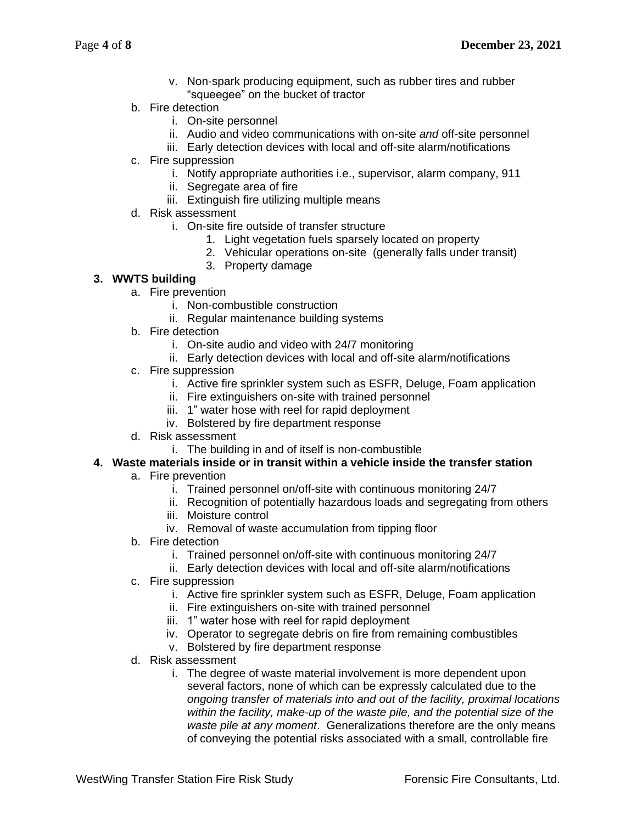- v. Non-spark producing equipment, such as rubber tires and rubber "squeegee" on the bucket of tractor
- b. Fire detection
	- i. On-site personnel
	- ii. Audio and video communications with on-site *and* off-site personnel
	- iii. Early detection devices with local and off-site alarm/notifications
- c. Fire suppression
	- i. Notify appropriate authorities i.e., supervisor, alarm company, 911
	- ii. Segregate area of fire
	- iii. Extinguish fire utilizing multiple means
- d. Risk assessment
	- i. On-site fire outside of transfer structure
		- 1. Light vegetation fuels sparsely located on property
		- 2. Vehicular operations on-site (generally falls under transit)
		- 3. Property damage

## **3. WWTS building**

- a. Fire prevention
	- i. Non-combustible construction
	- ii. Regular maintenance building systems
- b. Fire detection
	- i. On-site audio and video with 24/7 monitoring
	- ii. Early detection devices with local and off-site alarm/notifications
- c. Fire suppression
	- i. Active fire sprinkler system such as ESFR, Deluge, Foam application
	- ii. Fire extinguishers on-site with trained personnel
	- iii. 1" water hose with reel for rapid deployment
	- iv. Bolstered by fire department response
- d. Risk assessment
	- i. The building in and of itself is non-combustible

## **4. Waste materials inside or in transit within a vehicle inside the transfer station**

- a. Fire prevention
	- i. Trained personnel on/off-site with continuous monitoring 24/7
	- ii. Recognition of potentially hazardous loads and segregating from others
	- iii. Moisture control
	- iv. Removal of waste accumulation from tipping floor
- b. Fire detection
	- i. Trained personnel on/off-site with continuous monitoring 24/7
	- ii. Early detection devices with local and off-site alarm/notifications
- c. Fire suppression
	- i. Active fire sprinkler system such as ESFR, Deluge, Foam application
	- ii. Fire extinguishers on-site with trained personnel
	- iii. 1" water hose with reel for rapid deployment
	- iv. Operator to segregate debris on fire from remaining combustibles
	- v. Bolstered by fire department response
- d. Risk assessment
	- i. The degree of waste material involvement is more dependent upon several factors, none of which can be expressly calculated due to the *ongoing transfer of materials into and out of the facility, proximal locations within the facility, make-up of the waste pile, and the potential size of the waste pile at any moment*. Generalizations therefore are the only means of conveying the potential risks associated with a small, controllable fire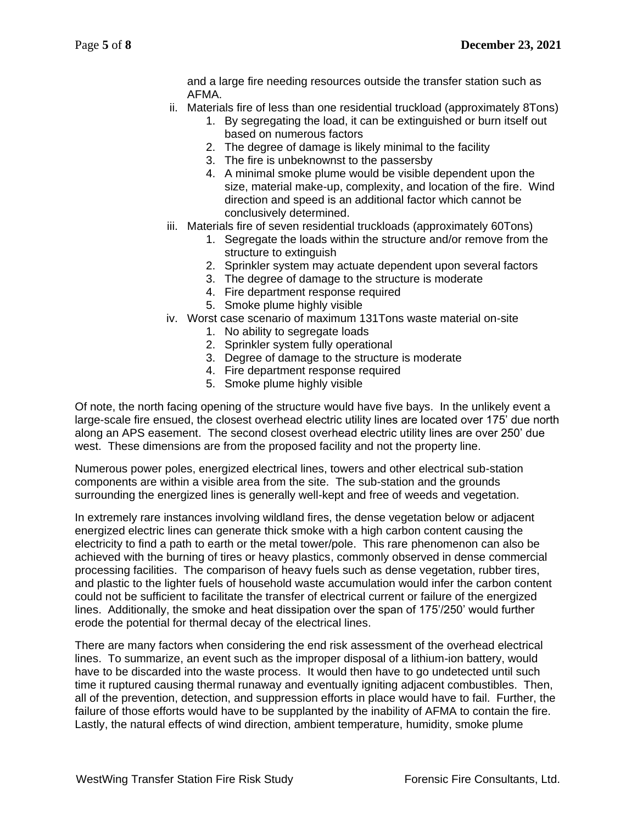and a large fire needing resources outside the transfer station such as AFMA.

- ii. Materials fire of less than one residential truckload (approximately 8Tons)
	- 1. By segregating the load, it can be extinguished or burn itself out based on numerous factors
	- 2. The degree of damage is likely minimal to the facility
	- 3. The fire is unbeknownst to the passersby
	- 4. A minimal smoke plume would be visible dependent upon the size, material make-up, complexity, and location of the fire. Wind direction and speed is an additional factor which cannot be conclusively determined.
- iii. Materials fire of seven residential truckloads (approximately 60Tons)
	- 1. Segregate the loads within the structure and/or remove from the structure to extinguish
	- 2. Sprinkler system may actuate dependent upon several factors
	- 3. The degree of damage to the structure is moderate
	- 4. Fire department response required
	- 5. Smoke plume highly visible
- iv. Worst case scenario of maximum 131Tons waste material on-site
	- 1. No ability to segregate loads
	- 2. Sprinkler system fully operational
	- 3. Degree of damage to the structure is moderate
	- 4. Fire department response required
	- 5. Smoke plume highly visible

Of note, the north facing opening of the structure would have five bays. In the unlikely event a large-scale fire ensued, the closest overhead electric utility lines are located over 175' due north along an APS easement. The second closest overhead electric utility lines are over 250' due west. These dimensions are from the proposed facility and not the property line.

Numerous power poles, energized electrical lines, towers and other electrical sub-station components are within a visible area from the site. The sub-station and the grounds surrounding the energized lines is generally well-kept and free of weeds and vegetation.

In extremely rare instances involving wildland fires, the dense vegetation below or adjacent energized electric lines can generate thick smoke with a high carbon content causing the electricity to find a path to earth or the metal tower/pole. This rare phenomenon can also be achieved with the burning of tires or heavy plastics, commonly observed in dense commercial processing facilities. The comparison of heavy fuels such as dense vegetation, rubber tires, and plastic to the lighter fuels of household waste accumulation would infer the carbon content could not be sufficient to facilitate the transfer of electrical current or failure of the energized lines. Additionally, the smoke and heat dissipation over the span of 175'/250' would further erode the potential for thermal decay of the electrical lines.

There are many factors when considering the end risk assessment of the overhead electrical lines. To summarize, an event such as the improper disposal of a lithium-ion battery, would have to be discarded into the waste process. It would then have to go undetected until such time it ruptured causing thermal runaway and eventually igniting adjacent combustibles. Then, all of the prevention, detection, and suppression efforts in place would have to fail. Further, the failure of those efforts would have to be supplanted by the inability of AFMA to contain the fire. Lastly, the natural effects of wind direction, ambient temperature, humidity, smoke plume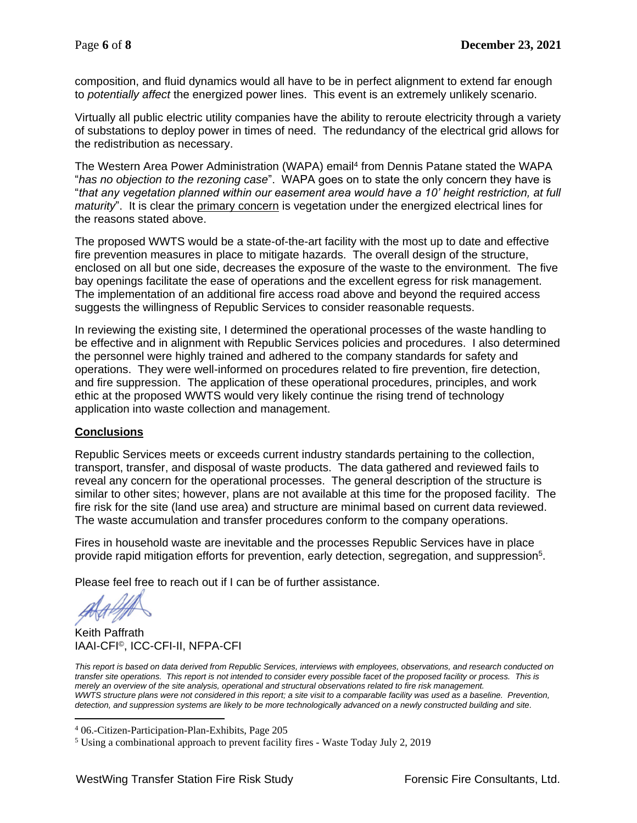composition, and fluid dynamics would all have to be in perfect alignment to extend far enough to *potentially affect* the energized power lines. This event is an extremely unlikely scenario.

Virtually all public electric utility companies have the ability to reroute electricity through a variety of substations to deploy power in times of need. The redundancy of the electrical grid allows for the redistribution as necessary.

The Western Area Power Administration (WAPA) email<sup>4</sup> from Dennis Patane stated the WAPA "*has no objection to the rezoning case*". WAPA goes on to state the only concern they have is "*that any vegetation planned within our easement area would have a 10' height restriction, at full maturity*". It is clear the primary concern is vegetation under the energized electrical lines for the reasons stated above.

The proposed WWTS would be a state-of-the-art facility with the most up to date and effective fire prevention measures in place to mitigate hazards. The overall design of the structure, enclosed on all but one side, decreases the exposure of the waste to the environment. The five bay openings facilitate the ease of operations and the excellent egress for risk management. The implementation of an additional fire access road above and beyond the required access suggests the willingness of Republic Services to consider reasonable requests.

In reviewing the existing site, I determined the operational processes of the waste handling to be effective and in alignment with Republic Services policies and procedures. I also determined the personnel were highly trained and adhered to the company standards for safety and operations. They were well-informed on procedures related to fire prevention, fire detection, and fire suppression. The application of these operational procedures, principles, and work ethic at the proposed WWTS would very likely continue the rising trend of technology application into waste collection and management.

#### **Conclusions**

Republic Services meets or exceeds current industry standards pertaining to the collection, transport, transfer, and disposal of waste products. The data gathered and reviewed fails to reveal any concern for the operational processes. The general description of the structure is similar to other sites; however, plans are not available at this time for the proposed facility. The fire risk for the site (land use area) and structure are minimal based on current data reviewed. The waste accumulation and transfer procedures conform to the company operations.

Fires in household waste are inevitable and the processes Republic Services have in place provide rapid mitigation efforts for prevention, early detection, segregation, and suppression<sup>5</sup>.

Please feel free to reach out if I can be of further assistance.

Keith Paffrath IAAI-CFI©, ICC-CFI-II, NFPA-CFI

*This report is based on data derived from Republic Services, interviews with employees, observations, and research conducted on transfer site operations. This report is not intended to consider every possible facet of the proposed facility or process. This is merely an overview of the site analysis, operational and structural observations related to fire risk management. WWTS structure plans were not considered in this report; a site visit to a comparable facility was used as a baseline. Prevention, detection, and suppression systems are likely to be more technologically advanced on a newly constructed building and site.*

<sup>4</sup> 06.-Citizen-Participation-Plan-Exhibits, Page 205

<sup>5</sup> Using a combinational approach to prevent facility fires - Waste Today July 2, 2019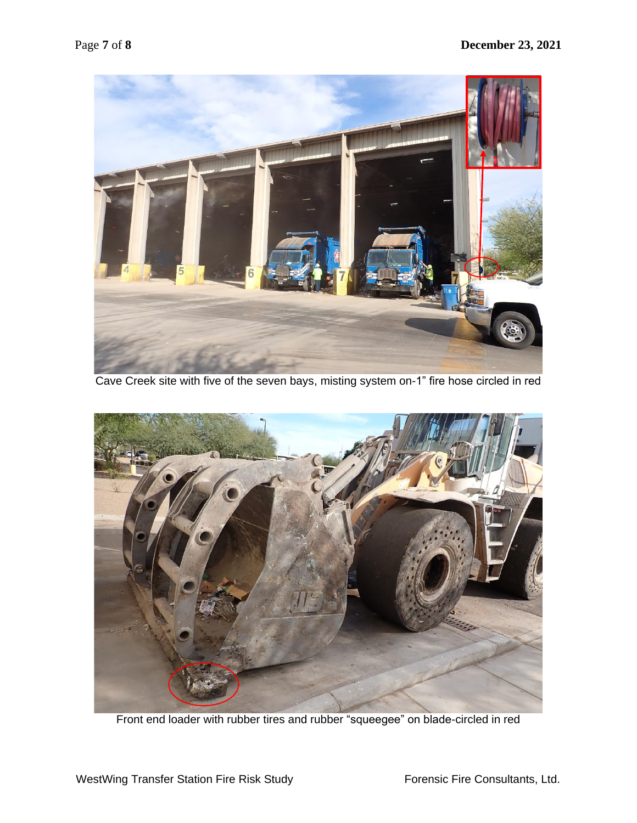

Cave Creek site with five of the seven bays, misting system on-1" fire hose circled in red



Front end loader with rubber tires and rubber "squeegee" on blade-circled in red